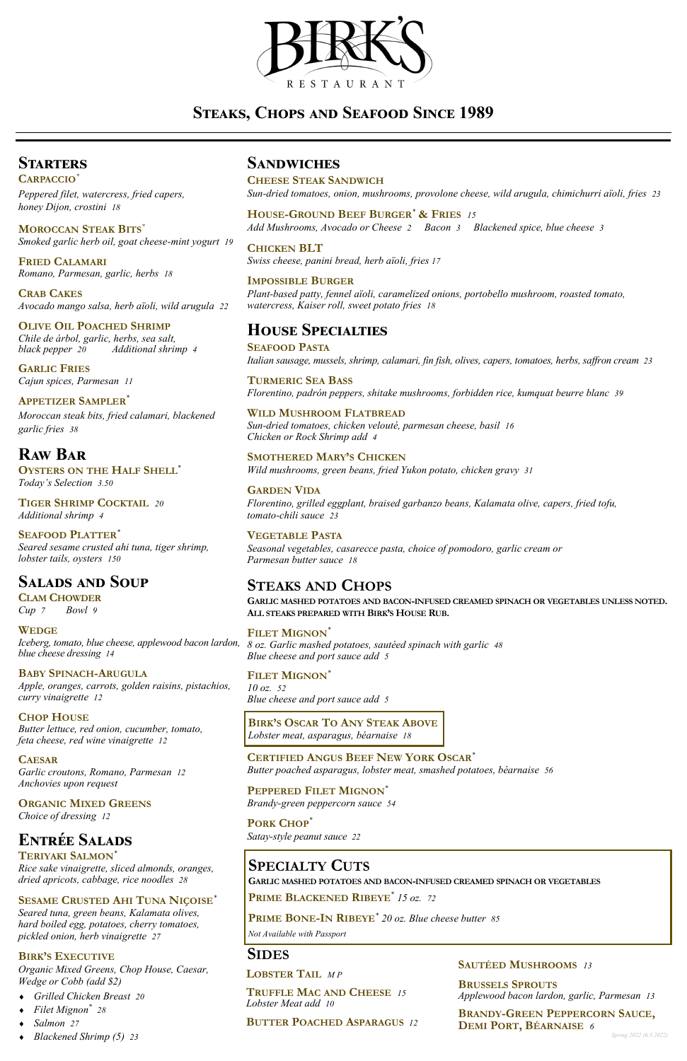

# **Steaks, Chops and Seafood Since 1989**

## **Starters**

**CARPACCIO***\**

*Peppered filet, watercress, fried capers, honey Dijon, crostini 18*

**MOROCCAN STEAK BITS***\* Smoked garlic herb oil, goat cheese-mint yogurt 19*

**FRIED CALAMARI** *Romano, Parmesan, garlic, herbs 18*

**CRAB CAKES** *Avocado mango salsa, herb aïoli, wild arugula 22*

### **OLIVE OIL POACHED SHRIMP**

*Chile de árbol, garlic, herbs, sea salt, black pepper 20 Additional shrimp 4*

**GARLIC FRIES** *Cajun spices, Parmesan 11*

### **APPETIZER SAMPLER***\**

*Moroccan steak bits, fried calamari, blackened garlic fries**38*

## **Raw Bar**

**OYSTERS ON THE HALF SHELL***\* Today's Selection 3.50*

**TIGER SHRIMP COCKTAIL** *20 Additional shrimp 4*

**SEAFOOD PLATTER***\* Seared sesame crusted ahi tuna, tiger shrimp, lobster tails, oysters 150*

## **Salads and Soup**

**CLAM CHOWDER** *Cup 7 Bowl 9*

**WEDGE** *Iceberg, tomato, blue cheese, applewood bacon lardon, blue cheese dressing 14*

**BABY SPINACH-ARUGULA** *Apple, oranges, carrots, golden raisins, pistachios, curry vinaigrette 12*

**CHOP HOUSE** *Butter lettuce, red onion, cucumber, tomato, feta cheese, red wine vinaigrette 12*

**CAESAR** *Garlic croutons, Romano, Parmesan 12* 

*Anchovies upon request*

**ORGANIC MIXED GREENS** *Choice of dressing 12*

### **Entrée Salads TERIYAKI SALMON***\**

*Rice sake vinaigrette, sliced almonds, oranges,* 

*dried apricots, cabbage, rice noodles 28*

### **SESAME CRUSTED AHI TUNA NIÇOISE***\**

*Seared tuna, green beans, Kalamata olives, hard boiled egg, potatoes, cherry tomatoes, pickled onion, herb vinaigrette 27*

### **BIRK'S EXECUTIVE**

*Organic Mixed Greens, Chop House, Caesar, Wedge or Cobb (add \$2)*

- *Grilled Chicken Breast 20*
- *Filet Mignon\* 28*
- *Salmon 27*
- *Blackened Shrimp (5) 23*

### **Sandwiches**

**CHEESE STEAK SANDWICH**

*Sun-dried tomatoes, onion, mushrooms, provolone cheese, wild arugula, chimichurri aïoli, fries 23*

**HOUSE-GROUND BEEF BURGER***\** **& FRIES** *<sup>15</sup> Add Mushrooms, Avocado or Cheese 2 Bacon 3 Blackened spice, blue cheese 3*

**CHICKEN BLT** *Swiss cheese, panini bread, herb aïoli, fries 17*

**IMPOSSIBLE BURGER** *Plant-based patty, fennel aïoli, caramelized onions, portobello mushroom, roasted tomato, watercress, Kaiser roll, sweet potato fries 18*

## **House Specialties**

**SEAFOOD PASTA** *Italian sausage, mussels, shrimp, calamari, fin fish, olives, capers, tomatoes, herbs, saffron cream 23*

**TURMERIC SEA BASS** *Florentino, padrón peppers, shitake mushrooms, forbidden rice, kumquat beurre blanc 39*

**WILD MUSHROOM FLATBREAD** *Sun-dried tomatoes, chicken velouté, parmesan cheese, basil 16 Chicken or Rock Shrimp add 4*

**SMOTHERED MARY'S CHICKEN** *Wild mushrooms, green beans, fried Yukon potato, chicken gravy 31*

#### **GARDEN VIDA**

*Florentino, grilled eggplant, braised garbanzo beans, Kalamata olive, capers, fried tofu, tomato-chili sauce 23*

#### **VEGETABLE PASTA**

*Seasonal vegetables, casarecce pasta, choice of pomodoro, garlic cream or Parmesan butter sauce 18*

## **STEAKS AND CHOPS**

**GARLIC MASHED POTATOES AND BACON-INFUSED CREAMED SPINACH OR VEGETABLES UNLESS NOTED. ALL STEAKS PREPARED WITH BIRK'S HOUSE RUB.**

### **FILET MIGNON***\**

*8 oz. Garlic mashed potatoes, sautéed spinach with garlic 48 Blue cheese and port sauce add 5*

**FILET MIGNON***\* 10 oz. 52 Blue cheese and port sauce add 5*

**CERTIFIED ANGUS BEEF NEW YORK OSCAR***\* Butter poached asparagus, lobster meat, smashed potatoes, béarnaise 56*

**PEPPERED FILET MIGNON***\* Brandy-green peppercorn sauce 54*

## **PORK CHOP***\**

*Satay-style peanut sauce 22*

## **SIDES**

#### **BIRK'S OSCAR TO ANY STEAK ABOVE** *Lobster meat, asparagus, béarnaise 18*

# **SPECIALTY CUTS**

**GARLIC MASHED POTATOES AND BACON-INFUSED CREAMED SPINACH OR VEGETABLES**

**PRIME BLACKENED RIBEYE***\* 15 oz. 72*

**PRIME BONE-IN RIBEYE***\* 20 oz. Blue cheese butter 85*

*Not Available with Passport*

**LOBSTER TAIL** *M P*

**TRUFFLE MAC AND CHEESE** *15 Lobster Meat add 10*

**BUTTER POACHED ASPARAGUS** *12*

#### **SAUTÉED MUSHROOMS** *13*

**BRUSSELS SPROUTS**  *Applewood bacon lardon, garlic, Parmesan 13*

#### **BRANDY-GREEN PEPPERCORN SAUCE, DEMI PORT, BÉARNAISE** *6*